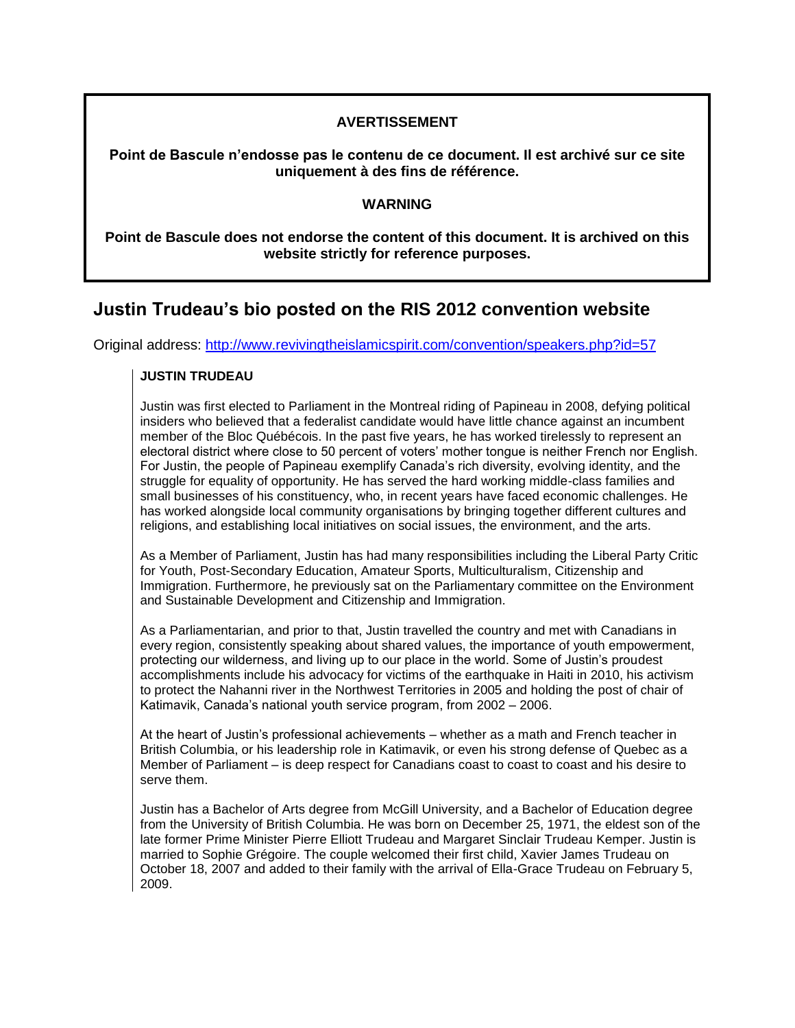## **AVERTISSEMENT**

**Point de Bascule n'endosse pas le contenu de ce document. Il est archivé sur ce site uniquement à des fins de référence.**

## **WARNING**

**Point de Bascule does not endorse the content of this document. It is archived on this website strictly for reference purposes.**

## **Justin Trudeau's bio posted on the RIS 2012 convention website**

Original address:<http://www.revivingtheislamicspirit.com/convention/speakers.php?id=57>

## **JUSTIN TRUDEAU**

Justin was first elected to Parliament in the Montreal riding of Papineau in 2008, defying political insiders who believed that a federalist candidate would have little chance against an incumbent member of the Bloc Québécois. In the past five years, he has worked tirelessly to represent an electoral district where close to 50 percent of voters' mother tongue is neither French nor English. For Justin, the people of Papineau exemplify Canada's rich diversity, evolving identity, and the struggle for equality of opportunity. He has served the hard working middle-class families and small businesses of his constituency, who, in recent years have faced economic challenges. He has worked alongside local community organisations by bringing together different cultures and religions, and establishing local initiatives on social issues, the environment, and the arts.

As a Member of Parliament, Justin has had many responsibilities including the Liberal Party Critic for Youth, Post-Secondary Education, Amateur Sports, Multiculturalism, Citizenship and Immigration. Furthermore, he previously sat on the Parliamentary committee on the Environment and Sustainable Development and Citizenship and Immigration.

As a Parliamentarian, and prior to that, Justin travelled the country and met with Canadians in every region, consistently speaking about shared values, the importance of youth empowerment, protecting our wilderness, and living up to our place in the world. Some of Justin's proudest accomplishments include his advocacy for victims of the earthquake in Haiti in 2010, his activism to protect the Nahanni river in the Northwest Territories in 2005 and holding the post of chair of Katimavik, Canada's national youth service program, from 2002 – 2006.

At the heart of Justin's professional achievements – whether as a math and French teacher in British Columbia, or his leadership role in Katimavik, or even his strong defense of Quebec as a Member of Parliament – is deep respect for Canadians coast to coast to coast and his desire to serve them.

Justin has a Bachelor of Arts degree from McGill University, and a Bachelor of Education degree from the University of British Columbia. He was born on December 25, 1971, the eldest son of the late former Prime Minister Pierre Elliott Trudeau and Margaret Sinclair Trudeau Kemper. Justin is married to Sophie Grégoire. The couple welcomed their first child, Xavier James Trudeau on October 18, 2007 and added to their family with the arrival of Ella-Grace Trudeau on February 5, 2009.